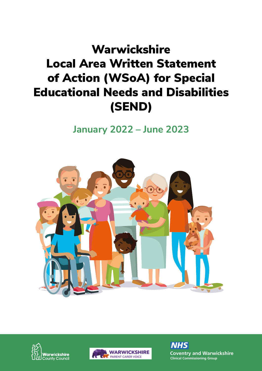### **Warwickshire** Local Area Written Statement of Action (WSoA) for Special Educational Needs and Disabilities (SEND)

**January 2022 – June 2023**







**Coventry and Warwickshire**<br> **Clinical Commissioning Group Clinical Commissioning Group** *NHS*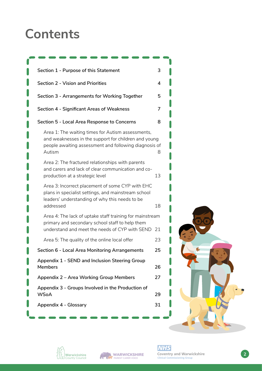### **Contents**

| Section 1 - Purpose of this Statement                                                                                                                                        | 3  |  |
|------------------------------------------------------------------------------------------------------------------------------------------------------------------------------|----|--|
| <b>Section 2 - Vision and Priorities</b>                                                                                                                                     | 4  |  |
| Section 3 - Arrangements for Working Together                                                                                                                                | 5  |  |
| <b>Section 4 - Significant Areas of Weakness</b>                                                                                                                             | 7  |  |
| Section 5 - Local Area Response to Concerns                                                                                                                                  | 8  |  |
| Area 1: The waiting times for Autism assessments,<br>and weaknesses in the support for children and young<br>people awaiting assessment and following diagnosis of<br>Autism | 8  |  |
| Area 2: The fractured relationships with parents<br>and carers and lack of clear communication and co-<br>production at a strategic level                                    | 13 |  |
| Area 3: Incorrect placement of some CYP with EHC<br>plans in specialist settings, and mainstream school<br>leaders' understanding of why this needs to be<br>addressed       | 18 |  |
| Area 4: The lack of uptake staff training for mainstream<br>primary and secondary school staff to help them<br>understand and meet the needs of CYP with SEND                | 21 |  |
| Area 5: The quality of the online local offer                                                                                                                                | 23 |  |
| Section 6 - Local Area Monitoring Arrangements                                                                                                                               | 25 |  |
| Appendix 1 - SEND and Inclusion Steering Group<br>Members                                                                                                                    | 26 |  |
| Appendix 2 - Area Working Group Members                                                                                                                                      | 27 |  |
| Appendix 3 - Groups Involved in the Production of<br><b>WSoA</b>                                                                                                             | 29 |  |
| Appendix 4 - Glossary                                                                                                                                                        | 31 |  |





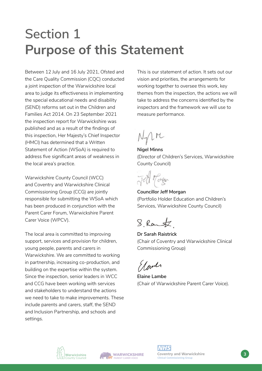### **Section 1 Purpose of this Statement**

Between 12 July and 16 July 2021, Ofsted and the Care Quality Commission (CQC) conducted a joint inspection of the Warwickshire local area to judge its effectiveness in implementing the special educational needs and disability (SEND) reforms set out in the Children and Families Act 2014. On 23 September 2021 the inspection report for Warwickshire was published and as a result of the findings of this inspection, Her Majesty's Chief Inspector (HMCI) has determined that a Written Statement of Action (WSoA) is required to address five significant areas of weakness in the local area's practice.

Warwickshire County Council (WCC) and Coventry and Warwickshire Clinical Commissioning Group (CCG) are jointly responsible for submitting the WSoA which has been produced in conjunction with the Parent Carer Forum, Warwickshire Parent Carer Voice (WPCV).

The local area is committed to improving support, services and provision for children, young people, parents and carers in Warwickshire. We are committed to working in partnership, increasing co-production, and building on the expertise within the system. Since the inspection, senior leaders in WCC and CCG have been working with services and stakeholders to understand the actions we need to take to make improvements. These include parents and carers, staff, the SEND and Inclusion Partnership, and schools and settings.

This is our statement of action. It sets out our vision and priorities, the arrangements for working together to oversee this work, key themes from the inspection, the actions we will take to address the concerns identified by the inspectors and the framework we will use to measure performance.

 $N_{\text{th}}$ rc

**Nigel Minns**  (Director of Children's Services, Warwickshire County Council)



**Councillor Jeff Morgan** (Portfolio Holder Education and Children's Services, Warwickshire County Council)

8 Rant

**Dr Sarah Raistrick**  (Chair of Coventry and Warwickshire Clinical Commissioning Group)

Elandr

**Elaine Lambe**  (Chair of Warwickshire Parent Carer Voice).



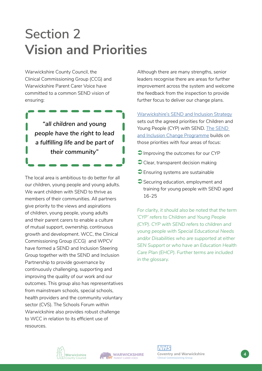# **Section 2 Vision and Priorities**

Warwickshire County Council, the Clinical Commissioning Group (CCG) and Warwickshire Parent Carer Voice have committed to a common SEND vision of ensuring:

> *"all children and young people have the right to lead a fulfilling life and be part of their community"*

The local area is ambitious to do better for all our children, young people and young adults. We want children with SEND to thrive as members of their communities. All partners give priority to the views and aspirations of children, young people, young adults and their parent carers to enable a culture of mutual support, ownership, continuous growth and development. WCC, the Clinical Commissioning Group (CCG) and WPCV have formed a SEND and Inclusion Steering Group together with the SEND and Inclusion Partnership to provide governance by continuously challenging, supporting and improving the quality of our work and our outcomes. This group also has representatives from mainstream schools, special schools, health providers and the community voluntary sector (CVS). The Schools Forum within Warwickshire also provides robust challenge to WCC in relation to its efficient use of resources.

Although there are many strengths, senior leaders recognise there are areas for further improvement across the system and welcome the feedback from the inspection to provide further focus to deliver our change plans.

[Warwickshire's SEND and Inclusion Strategy](https://api.warwickshire.gov.uk/documents/WCCC-1090-222) sets out the agreed priorities for Children and Young People (CYP) with SEND. [The SEND](https://www.warwickshire.gov.uk/special-educational-needs-disabilities-send/send-inclusion-change-programme/3)  [and Inclusion Change Programme](https://www.warwickshire.gov.uk/special-educational-needs-disabilities-send/send-inclusion-change-programme/3) builds on those priorities with four areas of focus:

- Improving the outcomes for our CYP
- Clear, transparent decision making
- **Ensuring systems are sustainable**
- Securing education, employment and training for young people with SEND aged 16-25

*For clarity, it should also be noted that the term 'CYP' refers to Children and Young People (CYP). CYP with SEND refers to children and young people with Special Educational Needs and/or Disabilities who are supported at either SEN Support or who have an Education Health Care Plan (EHCP). Further terms are included in the glossary.*



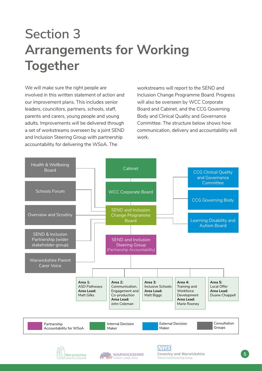# **Section 3 Arrangements for Working Together**

We will make sure the right people are involved in this written statement of action and our improvement plans. This includes senior leaders, councillors, partners, schools, staff, parents and carers, young people and young adults. Improvements will be delivered through a set of workstreams overseen by a joint SEND and Inclusion Steering Group with partnership accountability for delivering the WSoA. The

workstreams will report to the SEND and Inclusion Change Programme Board. Progress will also be overseen by WCC Corporate Board and Cabinet, and the CCG Governing Body and Clinical Quality and Governance Committee. The structure below shows how communication, delivery and accountability will work.

**Coventry and Warwickshire 5**<br> **5**<br> **5**<br> **5** 

**Thissioning Group** 





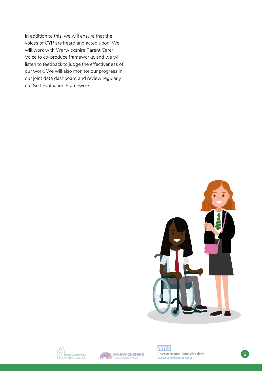In addition to this, we will ensure that the voices of CYP are heard and acted upon. We will work with Warwickshire Parent Carer Voice to co-produce frameworks, and we will listen to feedback to judge the effectiveness of our work. We will also monitor our progress in our joint data dashboard and review regularly our Self Evaluation Framework.







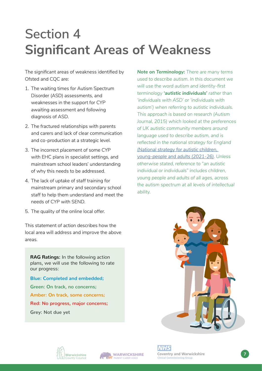# **Section 4 Significant Areas of Weakness**

The significant areas of weakness identified by Ofsted and CQC are:

- 1. The waiting times for Autism Spectrum Disorder (ASD) assessments, and weaknesses in the support for CYP awaiting assessment and following diagnosis of ASD.
- 2. The fractured relationships with parents and carers and lack of clear communication and co-production at a strategic level.
- 3. The incorrect placement of some CYP with EHC plans in specialist settings, and mainstream school leaders' understanding of why this needs to be addressed.
- 4. The lack of uptake of staff training for mainstream primary and secondary school staff to help them understand and meet the needs of CYP with SEND.
- 5. The quality of the online local offer.

This statement of action describes how the local area will address and improve the above areas.

**RAG Ratings:** In the following action plans, we will use the following to rate our progress:

**Blue: Completed and embedded; Green: On track, no concerns; Amber: On track, some concerns; Red: No progress, major concerns; Grey: Not due yet**

*Note on Terminology: There are many terms used to describe autism. In this document we will use the word autism and identity-first terminology 'autistic individuals' rather than 'individuals with ASD' or 'individuals with autism') when referring to autistic individuals. This approach is based on research (Autism Journal, 2015) which looked at the preferences of UK autistic community members around language used to describe autism, and is reflected in the national strategy for England [\(National strategy for autistic children,](https://www.gov.uk/government/publications/national-strategy-for-autistic-children-young-people-and-adults-2021-to-2026)  [young-people and adults \(2021-26\).](https://www.gov.uk/government/publications/national-strategy-for-autistic-children-young-people-and-adults-2021-to-2026) Unless otherwise stated, reference to "an autistic individual or individuals" includes children, young people and adults of all ages, across the autism spectrum at all levels of intellectual ability.* 







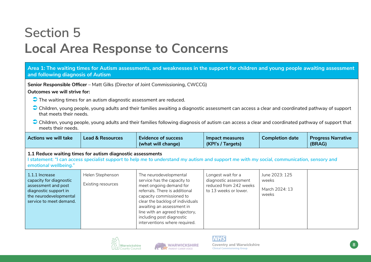### **Section 5 Local Area Response to Concerns**

#### **Area 1: The waiting times for Autism assessments, and weaknesses in the support for children and young people awaiting assessment and following diagnosis of Autism**

**Senior Responsible Officer** – Matt Gilks (Director of Joint Commissioning, CWCCG)

#### **Outcomes we will strive for:**

- The waiting times for an autism diagnostic assessment are reduced.
- Children, young people, young adults and their families awaiting a diagnostic assessment can access a clear and coordinated pathway of support that meets their needs.
- Children, young people, young adults and their families following diagnosis of autism can access a clear and coordinated pathway of support that meets their needs.

| Actions we will take | <b>Lead &amp; Resources</b> | <b>Evidence of success</b><br>(what will change) | Impact measures<br>(KPI's / Targets) | <b>Completion date</b> | <b>Progress Narrative</b><br>(BRAG) |
|----------------------|-----------------------------|--------------------------------------------------|--------------------------------------|------------------------|-------------------------------------|
|----------------------|-----------------------------|--------------------------------------------------|--------------------------------------|------------------------|-------------------------------------|

#### **1.1 Reduce waiting times for autism diagnostic assessments**

**I statement:** *"I can access specialist support to help me to understand my autism and support me with my social, communication, sensory and emotional wellbeing."*

| 1.1.1 Increase<br>capacity for diagnostic<br>assessment and post<br>diagnostic support in<br>the neurodevelopmental<br>service to meet demand. | Helen Stephenson<br>Existing resources | The neurodevelopmental<br>service has the capacity to<br>meet ongoing demand for<br>referrals. There is additional<br>capacity commissioned to<br>clear the backlog of individuals<br>awaiting an assessment in<br>line with an agreed trajectory,<br>including post diagnostic<br>interventions where required. | Longest wait for a<br>diagnostic assessment<br>reduced from 242 weeks<br>to 13 weeks or lower. | June 2023: 125<br>weeks<br>March 2024: 13<br>weeks |  |
|------------------------------------------------------------------------------------------------------------------------------------------------|----------------------------------------|------------------------------------------------------------------------------------------------------------------------------------------------------------------------------------------------------------------------------------------------------------------------------------------------------------------|------------------------------------------------------------------------------------------------|----------------------------------------------------|--|
|------------------------------------------------------------------------------------------------------------------------------------------------|----------------------------------------|------------------------------------------------------------------------------------------------------------------------------------------------------------------------------------------------------------------------------------------------------------------------------------------------------------------|------------------------------------------------------------------------------------------------|----------------------------------------------------|--|





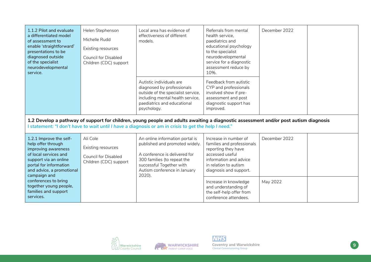| 1.1.2 Pilot and evaluate<br>a differentiated model<br>of assessment to<br>enable 'straightforward'<br>presentations to be<br>diagnosed outside<br>of the specialist<br>neurodevelopmental<br>service. | Helen Stephenson<br>Michelle Rudd<br>Existing resources<br><b>Council for Disabled</b><br>Children (CDC) support | Local area has evidence of<br>effectiveness of different<br>models.                                                                                                                                                                          | Referrals from mental<br>health service.<br>paediatrics and<br>educational psychology<br>to the specialist<br>neurodevelopmental<br>service for a diagnostic<br>assessment reduce by<br>10%. | December 2022 |  |
|-------------------------------------------------------------------------------------------------------------------------------------------------------------------------------------------------------|------------------------------------------------------------------------------------------------------------------|----------------------------------------------------------------------------------------------------------------------------------------------------------------------------------------------------------------------------------------------|----------------------------------------------------------------------------------------------------------------------------------------------------------------------------------------------|---------------|--|
|                                                                                                                                                                                                       |                                                                                                                  | Autistic individuals are<br>diagnosed by professionals<br>outside of the specialist service,<br>including mental health service,<br>paediatrics and educational<br>psychology.                                                               | Feedback from autistic<br>CYP and professionals<br>involved show if pre-<br>assessment and post<br>diagnostic support has<br>improved.                                                       |               |  |
|                                                                                                                                                                                                       |                                                                                                                  | 1.2 Develop a pathway of support for children, young people and adults awaiting a diagnostic assessment and/or post autism diagnosis<br>l statement: "I don't have to wait until I have a diagnosis or am in crisis to get the help I need." |                                                                                                                                                                                              |               |  |
| 1.2.1 Improve the self-<br>help offer through<br>improving awareness<br>of local services and<br>support via an online<br>portal for information<br>and advice, a promotional<br>campaign and         | Ali Cole<br>Existing resources<br>Council for Disabled<br>Children (CDC) support                                 | An online information portal is<br>published and promoted widely.<br>A conference is delivered for<br>300 families (to repeat the<br>successful Together with<br>Autism conference in January<br>2020).                                      | Increase in number of<br>families and professionals<br>reporting they have<br>accessed useful<br>information and advice<br>in relation to autism<br>diagnosis and support.                   | December 2022 |  |
| conferences to bring<br>together young people,<br>families and support<br>services.                                                                                                                   |                                                                                                                  |                                                                                                                                                                                                                                              | Increase in knowledge<br>and understanding of<br>the self-help offer from<br>conference attendees.                                                                                           | May 2022      |  |







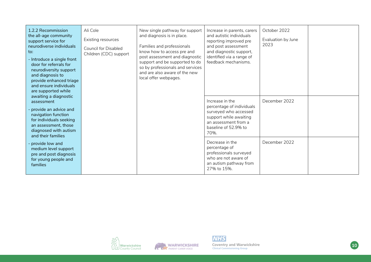| 1.2.2 Recommission<br>the all-age community<br>support service for<br>neurodiverse individuals<br>to:<br>- Introduce a single front<br>door for referrals for<br>neurodiversity support<br>and diagnosis to<br>provide enhanced triage<br>and ensure individuals<br>are supported while | Ali Cole<br>Existing resources<br><b>Council for Disabled</b><br>Children (CDC) support | New single pathway for support<br>and diagnosis is in place.<br>Families and professionals<br>know how to access pre and<br>post assessment and diagnostic<br>support and be supported to do<br>so by professionals and services<br>and are also aware of the new<br>local offer webpages. | Increase in parents, carers<br>and autistic individuals<br>reporting improved pre<br>and post assessment<br>and diagnostic support,<br>identified via a range of<br>feedback mechanisms. | October 2022<br>Evaluation by June<br>2023 |  |
|-----------------------------------------------------------------------------------------------------------------------------------------------------------------------------------------------------------------------------------------------------------------------------------------|-----------------------------------------------------------------------------------------|--------------------------------------------------------------------------------------------------------------------------------------------------------------------------------------------------------------------------------------------------------------------------------------------|------------------------------------------------------------------------------------------------------------------------------------------------------------------------------------------|--------------------------------------------|--|
| awaiting a diagnostic<br>assessment<br>- provide an advice and<br>navigation function<br>for individuals seeking<br>an assessment, those<br>diagnosed with autism<br>and their families                                                                                                 |                                                                                         |                                                                                                                                                                                                                                                                                            | Increase in the<br>percentage of individuals<br>surveyed who accessed<br>support while awaiting<br>an assessment from a<br>baseline of 52.9% to<br>70%.                                  | December 2022                              |  |
| provide low and<br>medium level support<br>pre and post diagnosis<br>for young people and<br>families                                                                                                                                                                                   |                                                                                         |                                                                                                                                                                                                                                                                                            | Decrease in the<br>percentage of<br>professionals surveyed<br>who are not aware of<br>an autism pathway from<br>27% to 15%.                                                              | December 2022                              |  |







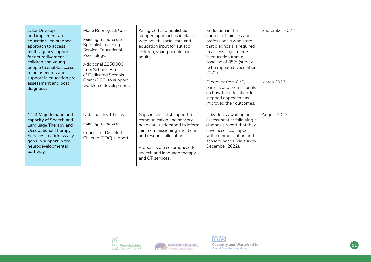| 1.2.3 Develop<br>and implement an<br>education-led stepped<br>approach to access<br>multi-agency support<br>for neurodivergent<br>children and young<br>people to enable access<br>to adjustments and<br>support in education pre<br>assessment and post<br>diagnosis. | Marie Rooney, Ali Cole<br>Existing resources i.e.,<br><b>Specialist Teaching</b><br>Service, Educational<br>Psychology.<br>Additional £250,000<br>from Schools Block<br>of Dedicated Schools<br>Grant (DSG) to support<br>workforce development. | An agreed and published<br>stepped approach is in place<br>with health, social care and<br>education input for autistic<br>children, young people and<br>adults                                                                                 | Reduction in the<br>number of families and<br>professionals who state<br>that diagnosis is required<br>to access adjustments<br>in education from a<br>baseline of 85% (survey<br>to be repeated December<br>2022). | September 2022    |  |
|------------------------------------------------------------------------------------------------------------------------------------------------------------------------------------------------------------------------------------------------------------------------|--------------------------------------------------------------------------------------------------------------------------------------------------------------------------------------------------------------------------------------------------|-------------------------------------------------------------------------------------------------------------------------------------------------------------------------------------------------------------------------------------------------|---------------------------------------------------------------------------------------------------------------------------------------------------------------------------------------------------------------------|-------------------|--|
|                                                                                                                                                                                                                                                                        |                                                                                                                                                                                                                                                  |                                                                                                                                                                                                                                                 | Feedback from CYP.<br>parents and professionals<br>on how the education-led<br>stepped approach has<br>improved their outcomes.                                                                                     | <b>March 2023</b> |  |
| 1.2.4 Map demand and<br>capacity of Speech and<br>Language Therapy and<br>Occupational Therapy<br>Services to address any<br>gaps in support in the<br>neurodevelopmental<br>pathway.                                                                                  | Natasha Lloyd-Lucas<br>Existing resources<br><b>Council for Disabled</b><br>Children (CDC) support                                                                                                                                               | Gaps in specialist support for<br>communication and sensory<br>needs are understood to inform<br>joint commissioning intentions<br>and resource allocation.<br>Proposals are co-produced for<br>speech and language therapy<br>and OT services. | Individuals awaiting an<br>assessment or following a<br>diagnosis report that they<br>have accessed support<br>with communication and<br>sensory needs (via survey<br>December 2022).                               | August 2022       |  |





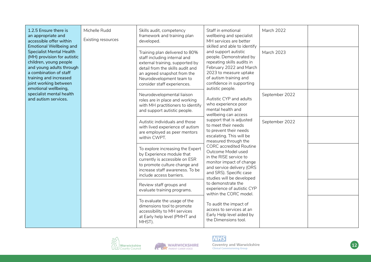| 1.2.5 Ensure there is<br>an appropriate and<br>accessible offer within<br><b>Emotional Wellbeing and</b>                                                                                                                  | Michelle Rudd<br>Existing resources | Skills audit, competency<br>framework and training plan<br>developed.                                                                                                                                                           | Staff in emotional<br>wellbeing and specialist<br>MH services are better<br>skilled and able to identify                                                                                                                                                                                                                         | March 2022                                       |  |
|---------------------------------------------------------------------------------------------------------------------------------------------------------------------------------------------------------------------------|-------------------------------------|---------------------------------------------------------------------------------------------------------------------------------------------------------------------------------------------------------------------------------|----------------------------------------------------------------------------------------------------------------------------------------------------------------------------------------------------------------------------------------------------------------------------------------------------------------------------------|--------------------------------------------------|--|
| <b>Specialist Mental Health</b><br>(MH) provision for autistic<br>children, young people<br>and young adults through<br>a combination of staff<br>training and increased<br>joint working between<br>emotional wellbeing, |                                     | Training plan delivered to 80%<br>staff including internal and<br>external training, supported by<br>detail from the skills audit and<br>an agreed snapshot from the<br>Neurodevelopment team to<br>consider staff experiences. | and support autistic<br>people. Demonstrated by<br>repeating skills audits in<br>February 2022 and March<br>2023 to measure uptake<br>of autism training and<br>confidence in supporting                                                                                                                                         | March 2023<br>autistic people.<br>September 2022 |  |
| specialist mental health<br>and autism services.                                                                                                                                                                          |                                     | Neurodevelopmental liaison<br>roles are in place and working<br>with MH practitioners to identify<br>and support autistic people.                                                                                               | Autistic CYP and adults<br>who experience poor<br>mental health and<br>wellbeing can access                                                                                                                                                                                                                                      |                                                  |  |
|                                                                                                                                                                                                                           |                                     | Autistic individuals and those<br>with lived experience of autism<br>are employed as peer mentors<br>within CWPT.                                                                                                               | support that is adjusted<br>to meet their needs<br>to prevent their needs<br>escalating. This will be<br>measured through the<br><b>CORC</b> accredited Routine<br>Outcome Model used<br>in the RISE service to<br>monitor impact of change<br>and service delivery (ORS<br>and SRS). Specific case<br>studies will be developed | September 2022                                   |  |
|                                                                                                                                                                                                                           |                                     | To explore increasing the Expert<br>by Experience module that<br>currently is accessible on ESR<br>to promote culture change and<br>increase staff awareness. To be<br>include access barriers.                                 |                                                                                                                                                                                                                                                                                                                                  |                                                  |  |
|                                                                                                                                                                                                                           |                                     | Review staff groups and<br>evaluate training programs.                                                                                                                                                                          | to demonstrate the<br>experience of autistic CYP<br>within the CORC model.                                                                                                                                                                                                                                                       |                                                  |  |
|                                                                                                                                                                                                                           |                                     | To evaluate the usage of the<br>dimensions tool to promote<br>accessibility to MH services<br>at Early help level (PMHT and<br>MHST).                                                                                           | To audit the impact of<br>access to services at an<br>Early Help level aided by<br>the Dimensions tool.                                                                                                                                                                                                                          |                                                  |  |



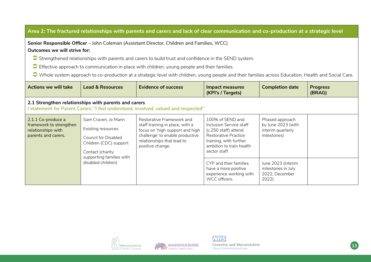| Area 2: The fractured relationships with parents and carers and lack of clear communication and co-production at a strategic level |                                                                                                                        |                                                                                                                                                                                      |                                                                                                                                                                    |                                                                           |                           |  |
|------------------------------------------------------------------------------------------------------------------------------------|------------------------------------------------------------------------------------------------------------------------|--------------------------------------------------------------------------------------------------------------------------------------------------------------------------------------|--------------------------------------------------------------------------------------------------------------------------------------------------------------------|---------------------------------------------------------------------------|---------------------------|--|
| Senior Responsible Officer - John Coleman (Assistant Director, Children and Families, WCC)<br>Outcomes we will strive for:         |                                                                                                                        |                                                                                                                                                                                      |                                                                                                                                                                    |                                                                           |                           |  |
|                                                                                                                                    |                                                                                                                        | Strengthened relationships with parents and carers to build trust and confidence in the SEND system.                                                                                 |                                                                                                                                                                    |                                                                           |                           |  |
|                                                                                                                                    |                                                                                                                        | Effective approach to communication in place with children, young people and their families.                                                                                         |                                                                                                                                                                    |                                                                           |                           |  |
|                                                                                                                                    |                                                                                                                        | Whole system approach to co-production at a strategic level with children, young people and their families across Education, Health and Social Care.                                 |                                                                                                                                                                    |                                                                           |                           |  |
| <b>Actions we will take</b>                                                                                                        | <b>Lead &amp; Resources</b>                                                                                            | <b>Evidence of success</b>                                                                                                                                                           | <b>Impact measures</b><br>(KPI's / Targets)                                                                                                                        | <b>Completion date</b>                                                    | <b>Progress</b><br>(BRAG) |  |
|                                                                                                                                    | 2.1 Strengthen relationships with parents and carers                                                                   | I statement for Parent Carers: "I feel understood, involved, valued and respected"                                                                                                   |                                                                                                                                                                    |                                                                           |                           |  |
| 2.1.1 Co-produce a<br>framework to strengthen<br>relationships with<br>parents and carers.                                         | Sam Craven, Jo Mann<br>Existing resources<br><b>Council for Disabled</b><br>Children (CDC) support<br>Contact (charity | Restorative Framework and<br>staff training in place, with a<br>focus on 'high support and high<br>challenge' to enable productive<br>relationships that lead to<br>positive change. | 100% of SEND and<br>Inclusion Service staff<br>(c.250 staff) attend<br>Restorative Practice<br>training, with further<br>ambition to train health<br>sector staff. | Phased approach<br>by June 2023 (with<br>interim quarterly<br>milestones) |                           |  |
|                                                                                                                                    | supporting families with<br>disabled children)                                                                         | CYP and their families<br>have a more positive<br>experience working with<br>WCC officers.                                                                                           | June 2023 (interim<br>milestones in July<br>2022, December<br>2022)                                                                                                |                                                                           |                           |  |







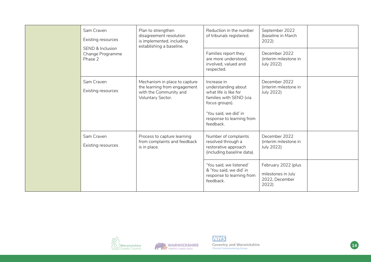|  | Sam Craven<br>Existing resources<br>SEND & Inclusion<br>Change Programme<br>Phase 2 | Plan to strengthen<br>disagreement resolution<br>is implemented, including<br>establishing a baseline.       | Reduction in the number<br>of tribunals registered.<br>Families report they<br>are more understood.<br>involved, valued and<br>respected.                                   | September 2022<br>(baseline in March<br>2022)<br>December 2022<br>(interim milestone in<br>July 2022) |  |
|--|-------------------------------------------------------------------------------------|--------------------------------------------------------------------------------------------------------------|-----------------------------------------------------------------------------------------------------------------------------------------------------------------------------|-------------------------------------------------------------------------------------------------------|--|
|  | Sam Craven<br>Existing resources                                                    | Mechanism in place to capture<br>the learning from engagement<br>with the Community and<br>Voluntary Sector. | Increase in<br>understanding about<br>what life is like for<br>families with SEND (via<br>focus groups).<br>'You said, we did' in<br>response to learning from<br>feedback. | December 2022<br>(interim milestone in<br>July 2022)                                                  |  |
|  | Sam Craven<br>Existing resources                                                    | Process to capture learning<br>from complaints and feedback<br>is in place.                                  | Number of complaints<br>resolved through a<br>restorative approach<br>(including baseline data).                                                                            | December 2022<br>(interim milestone in<br>July 2022)                                                  |  |
|  |                                                                                     |                                                                                                              | 'You said, we listened'<br>& 'You said, we did' in<br>response to learning from<br>feedback.                                                                                | February 2022 (plus<br>milestones in July<br>2022, December<br>2022)                                  |  |







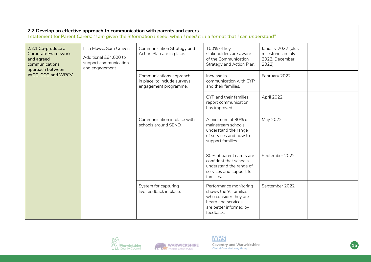| 2.2 Develop an effective approach to communication with parents and carers<br>I statement for Parent Carers: "I am given the information I need, when I need it in a format that I can understand" |                                                                                           |                                                                                   |                                                                                                                                      |                                                                     |  |  |  |
|----------------------------------------------------------------------------------------------------------------------------------------------------------------------------------------------------|-------------------------------------------------------------------------------------------|-----------------------------------------------------------------------------------|--------------------------------------------------------------------------------------------------------------------------------------|---------------------------------------------------------------------|--|--|--|
| 2.2.1 Co-produce a<br><b>Corporate Framework</b><br>and agreed<br>communications<br>approach between                                                                                               | Lisa Mowe, Sam Craven<br>Additional £64,000 to<br>support communication<br>and engagement | Communication Strategy and<br>Action Plan are in place.                           | 100% of key<br>stakeholders are aware<br>of the Communication<br>Strategy and Action Plan.                                           | January 2022 (plus<br>milestones in July<br>2022, December<br>2022) |  |  |  |
| WCC, CCG and WPCV.                                                                                                                                                                                 |                                                                                           | Communications approach<br>in place, to include surveys,<br>engagement programme. | Increase in<br>communication with CYP<br>and their families.                                                                         | February 2022                                                       |  |  |  |
|                                                                                                                                                                                                    |                                                                                           |                                                                                   | CYP and their families<br>report communication<br>has improved.                                                                      | April 2022                                                          |  |  |  |
|                                                                                                                                                                                                    |                                                                                           | Communication in place with<br>schools around SEND.                               | A minimum of 80% of<br>mainstream schools<br>understand the range<br>of services and how to<br>support families.                     | May 2022                                                            |  |  |  |
|                                                                                                                                                                                                    |                                                                                           |                                                                                   | 80% of parent carers are<br>confident that schools<br>understand the range of<br>services and support for<br>families.               | September 2022                                                      |  |  |  |
|                                                                                                                                                                                                    |                                                                                           | System for capturing<br>live feedback in place.                                   | Performance monitoring<br>shows the % families<br>who consider they are<br>heard and services<br>are better informed by<br>feedback. | September 2022                                                      |  |  |  |









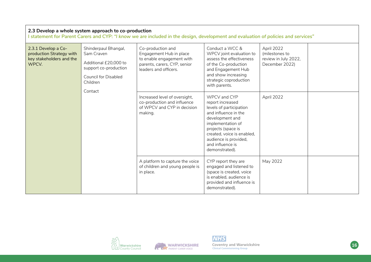| 2.3 Develop a whole system approach to co-production<br>statement for Parent Carers and CYP: "I know we are included in the design, development and evaluation of policies and services" |                                                                                                                                            |                                                                                                                                    |                                                                                                                                                                                                                                                |                                                                        |  |  |  |
|------------------------------------------------------------------------------------------------------------------------------------------------------------------------------------------|--------------------------------------------------------------------------------------------------------------------------------------------|------------------------------------------------------------------------------------------------------------------------------------|------------------------------------------------------------------------------------------------------------------------------------------------------------------------------------------------------------------------------------------------|------------------------------------------------------------------------|--|--|--|
| 2.3.1 Develop a Co-<br>production Strategy with<br>key stakeholders and the<br>WPCV.                                                                                                     | Shinderpaul Bhangal,<br>Sam Craven<br>Additional £20,000 to<br>support co-production<br><b>Council for Disabled</b><br>Children<br>Contact | Co-production and<br>Engagement Hub in place<br>to enable engagement with<br>parents, carers, CYP, senior<br>leaders and officers. | Conduct a WCC &<br>WPCV joint evaluation to<br>assess the effectiveness<br>of the Co-production<br>and Engagement Hub<br>and show increasing<br>strategic coproduction<br>with parents.                                                        | April 2022<br>(milestones to<br>review in July 2022,<br>December 2022) |  |  |  |
|                                                                                                                                                                                          |                                                                                                                                            | Increased level of oversight,<br>co-production and influence<br>of WPCV and CYP in decision<br>making.                             | WPCV and CYP<br>report increased<br>levels of participation<br>and influence in the<br>development and<br>implementation of<br>projects (space is<br>created, voice is enabled,<br>audience is provided,<br>and influence is<br>demonstrated). | April 2022                                                             |  |  |  |
|                                                                                                                                                                                          |                                                                                                                                            | A platform to capture the voice<br>of children and young people is<br>in place.                                                    | CYP report they are<br>engaged and listened to<br>(space is created, voice<br>is enabled, audience is<br>provided and influence is<br>demonstrated).                                                                                           | May 2022                                                               |  |  |  |







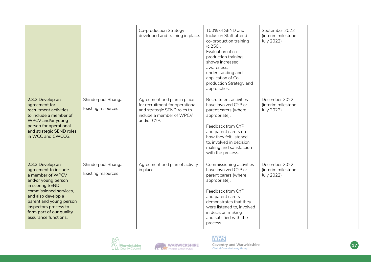|                                                                                                                                                                                                             |                     | Co-production Strategy<br>developed and training in place.                                                                               | 100% of SEND and<br>Inclusion Staff attend<br>co-production training<br>$(c.250)$ .<br>Evaluation of co-<br>production training<br>shows increased<br>awareness,<br>understanding and<br>application of Co-<br>production Strategy and<br>approaches. | September 2022<br>(interim milestone<br>July 2022) |  |
|-------------------------------------------------------------------------------------------------------------------------------------------------------------------------------------------------------------|---------------------|------------------------------------------------------------------------------------------------------------------------------------------|-------------------------------------------------------------------------------------------------------------------------------------------------------------------------------------------------------------------------------------------------------|----------------------------------------------------|--|
| 2.3.2 Develop an<br>agreement for<br>Existing resources<br>recruitment activities<br>to include a member of<br>WPCV and/or young<br>person for operational<br>and strategic SEND roles<br>in WCC and CWCCG. | Shinderpaul Bhangal | Agreement and plan in place<br>for recruitment for operational<br>and strategic SEND roles to<br>include a member of WPCV<br>and/or CYP. | Recruitment activities<br>have involved CYP or<br>parent carers (where<br>appropriate).                                                                                                                                                               | December 2022<br>(interim milestone<br>July 2022)  |  |
|                                                                                                                                                                                                             |                     |                                                                                                                                          | Feedback from CYP<br>and parent carers on<br>how they felt listened<br>to, involved in decision<br>making and satisfaction<br>with the process.                                                                                                       |                                                    |  |
| Shinderpaul Bhangal<br>2.3.3 Develop an<br>agreement to include<br>Existing resources<br>a member of WPCV<br>and/or young person                                                                            |                     | Agreement and plan of activity<br>in place.                                                                                              | Commissioning activities<br>have involved CYP or<br>parent carers (where<br>appropriate).                                                                                                                                                             | December 2022<br>(interim milestone<br>July 2022)  |  |
| in scoring SEND<br>commissioned services,<br>and also develop a<br>parent and young person<br>inspectors process to<br>form part of our quality<br>assurance functions.                                     |                     |                                                                                                                                          | Feedback from CYP<br>and parent carers<br>demonstrates that they<br>were listened to, involved<br>in decision making<br>and satisfied with the<br>process.                                                                                            |                                                    |  |



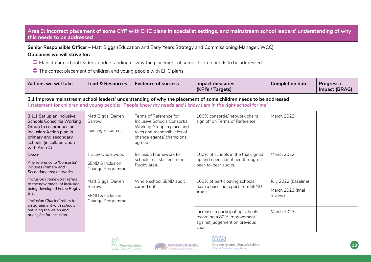### **Area 3: Incorrect placement of some CYP with EHC plans in specialist settings, and mainstream school leaders' understanding of why this needs to be addressed**

**Senior Responsible Officer** – Matt Biggs (Education and Early Years Strategy and Commissioning Manager, WCC) **Outcomes we will strive for:**

 $\bigcirc$  Mainstream school leaders' understanding of why the placement of some children needs to be addressed.

The correct placement of children and young people with EHC plans.

| <b>Actions we will take</b>                                                                                                                                                                                                    | <b>Lead &amp; Resources</b>                                          | <b>Evidence of success</b>                                                                                                                                  | <b>Impact measures</b><br>(KPI's / Targets)                                                                                                                                                                                      | <b>Completion date</b>                               | Progress /<br>Impact (BRAG) |
|--------------------------------------------------------------------------------------------------------------------------------------------------------------------------------------------------------------------------------|----------------------------------------------------------------------|-------------------------------------------------------------------------------------------------------------------------------------------------------------|----------------------------------------------------------------------------------------------------------------------------------------------------------------------------------------------------------------------------------|------------------------------------------------------|-----------------------------|
|                                                                                                                                                                                                                                |                                                                      |                                                                                                                                                             | 3.1 Improve mainstream school leaders' understanding of why the placement of some children needs to be addressed<br>I statement for children and young people: "People know my needs and I know I am in the right school for me" |                                                      |                             |
| 3.1.1 Set up an Inclusive<br>Schools Consortia Working<br>Barrow<br>Group to co-produce an<br>Inclusion Action plan in<br>primary and secondary<br>schools (in collaboration<br>with Area 4).                                  | Matt Biggs, Darren<br>Existing resources                             | Terms of Reference for<br>Inclusive Schools Consortia<br>Working Group in place and<br>roles and responsibilities of<br>change agents/ champions<br>agreed. | 100% consortia/ network chairs<br>sign off on Terms of Reference.                                                                                                                                                                | <b>March 2022</b>                                    |                             |
| Notes:<br>Any reference to 'Consortia'<br>includes Primary and<br>Secondary area networks.                                                                                                                                     | Tracey Underwood<br>SEND & Inclusion<br>Change Programme             | Inclusion Framework for<br>schools trial started in the<br>Rugby area.                                                                                      | 100% of schools in the trial signed<br>up and needs identified through<br>peer-to-peer audits.                                                                                                                                   | <b>March 2022</b>                                    |                             |
| 'Inclusion Framework' refers<br>to the new model of inclusion<br>being developed in the Rugby<br>trial.<br>'Inclusion Charter' refers to<br>an agreement with schools<br>outlining the vision and<br>principles for inclusion. | Matt Biggs, Darren<br>Barrow<br>SEND & Inclusion<br>Change Programme | Whole school SEND audit<br>carried out.                                                                                                                     | 100% of participating schools<br>have a baseline report from SEND<br>Audit.                                                                                                                                                      | July 2022 (baseline)<br>March 2023 (final<br>review) |                             |
|                                                                                                                                                                                                                                |                                                                      |                                                                                                                                                             | Increase in participating schools<br>recording a 80% improvement<br>against judgement on previous<br>year.                                                                                                                       | <b>March 2023</b>                                    |                             |





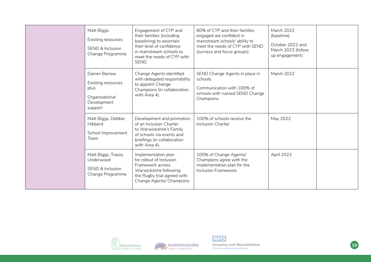|  | Matt Biggs<br>Existing resources<br><b>SEND &amp; Inclusion</b><br>Change Programme     | Engagement of CYP and<br>their families (including<br>baselining) to ascertain<br>their level of confidence<br>in mainstream schools to<br>meet the needs of CYP with<br>SEND. | 80% of CYP and their families<br>engaged are confident in<br>mainstream schools' ability to<br>meet the needs of CYP with SEND<br>(surveys and focus groups). | <b>March 2022</b><br>(baseline).<br>October 2022 and<br>March 2023 (follow<br>up engagement) |  |
|--|-----------------------------------------------------------------------------------------|--------------------------------------------------------------------------------------------------------------------------------------------------------------------------------|---------------------------------------------------------------------------------------------------------------------------------------------------------------|----------------------------------------------------------------------------------------------|--|
|  | Darren Barrow<br>Existing resources<br>plus<br>Organisational<br>Development<br>support | Change Agents identified<br>with delegated responsibility<br>to appoint Change<br>Champions (in collaboration<br>with Area 4).                                                 | SEND Change Agents in place in<br>schools.<br>Communication with 100% of<br>schools with named SEND Change<br>Champions.                                      | March 2022                                                                                   |  |
|  | Matt Biggs, Debbie<br>Hibberd<br>School Improvement<br>Team                             | Development and promotion<br>of an Inclusion Charter<br>to Warwickshire's Family<br>of schools via events and<br>briefings (in collaboration<br>with Area 4).                  | 100% of schools receive the<br>Inclusion Charter.                                                                                                             | May 2022                                                                                     |  |
|  | Matt Biggs, Tracey<br>Underwood<br>SEND & Inclusion<br>Change Programme                 | Implementation plan<br>for rollout of Inclusion<br>Framework across<br>Warwickshire following<br>the Rugby trial agreed with<br>Change Agents/ Champions                       | 100% of Change Agents/<br>Champions agree with the<br>implementation plan for the<br>Inclusion Framework.                                                     | April 2023                                                                                   |  |







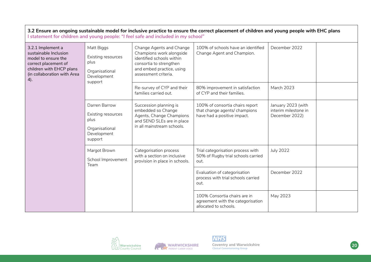| 3.2 Ensure an ongoing sustainable model for inclusive practice to ensure the correct placement of children and young people with EHC plans<br>I statement for children and young people: "I feel safe and included in my school" |                                                                                         |                                                                                                                                                                   |                                                                                                 |                                                              |  |
|----------------------------------------------------------------------------------------------------------------------------------------------------------------------------------------------------------------------------------|-----------------------------------------------------------------------------------------|-------------------------------------------------------------------------------------------------------------------------------------------------------------------|-------------------------------------------------------------------------------------------------|--------------------------------------------------------------|--|
| 3.2.1 Implement a<br>sustainable Inclusion<br>model to ensure the<br>correct placement of<br>children with EHCP plans<br>(in collaboration with Area<br>4).                                                                      | Matt Biggs<br>Existing resources<br>plus<br>Organisational<br>Development<br>support    | Change Agents and Change<br>Champions work alongside<br>identified schools within<br>consortia to strengthen<br>and embed practice, using<br>assessment criteria. | 100% of schools have an identified<br>Change Agent and Champion.                                | December 2022                                                |  |
|                                                                                                                                                                                                                                  |                                                                                         | Re-survey of CYP and their<br>families carried out.                                                                                                               | 80% improvement in satisfaction<br>of CYP and their families.                                   | March 2023                                                   |  |
|                                                                                                                                                                                                                                  | Darren Barrow<br>Existing resources<br>plus<br>Organisational<br>Development<br>support | Succession planning is<br>embedded so Change<br>Agents, Change Champions<br>and SEND SLEs are in place<br>in all mainstream schools.                              | 100% of consortia chairs report<br>that change agents/ champions<br>have had a positive impact. | January 2023 (with<br>interim milestone in<br>December 2022) |  |
|                                                                                                                                                                                                                                  | Margot Brown<br>School Improvement<br>Team                                              | Categorisation process<br>with a section on inclusive<br>provision in place in schools.                                                                           | Trial categorisation process with<br>50% of Rugby trial schools carried<br>out.                 | <b>July 2022</b>                                             |  |
|                                                                                                                                                                                                                                  |                                                                                         |                                                                                                                                                                   | Evaluation of categorisation<br>process with trial schools carried<br>out.                      | December 2022                                                |  |
|                                                                                                                                                                                                                                  |                                                                                         |                                                                                                                                                                   | 100% Consortia chairs are in<br>agreement with the categorisation<br>allocated to schools.      | May 2023                                                     |  |







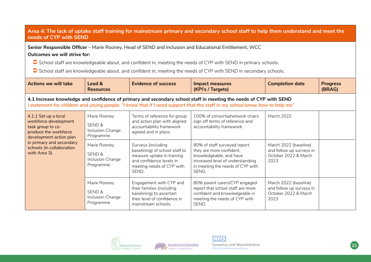### **Area 4: The lack of uptake staff training for mainstream primary and secondary school staff to help them understand and meet the needs of CYP with SEND**

**Senior Responsible Officer** – Marie Rooney, Head of SEND and Inclusion and Educational Entitlement, WCC **Outcomes we will strive for:**

School staff are knowledgeable about, and confident in, meeting the needs of CYP with SEND in primary schools.

School staff are knowledgeable about, and confident in, meeting the needs of CYP with SEND in secondary schools.

| <b>Actions we will take</b>                                                                                                                                                                      | Lead &<br><b>Resources</b>                                                                                                                                                                                                                    | <b>Evidence of success</b>                                                                                                                           | <b>Impact measures</b><br>(KPI's / Targets)                                                                                                                          | <b>Completion date</b>                                                            | <b>Progress</b><br>(BRAG) |
|--------------------------------------------------------------------------------------------------------------------------------------------------------------------------------------------------|-----------------------------------------------------------------------------------------------------------------------------------------------------------------------------------------------------------------------------------------------|------------------------------------------------------------------------------------------------------------------------------------------------------|----------------------------------------------------------------------------------------------------------------------------------------------------------------------|-----------------------------------------------------------------------------------|---------------------------|
|                                                                                                                                                                                                  | 4.1 Increase knowledge and confidence of primary and secondary school staff in meeting the needs of CYP with SEND<br>statement for children and young people: "I know that if I need support that the staff in my school know how to help me" |                                                                                                                                                      |                                                                                                                                                                      |                                                                                   |                           |
| 4.1.1 Set up a local<br>workforce development<br>task group to co-<br>produce the workforce<br>development action plan<br>in primary and secondary<br>schools (in collaboration<br>with Area 3). | Marie Rooney<br>SEND &<br>Inclusion Change<br>Programme                                                                                                                                                                                       | Terms of reference for group<br>and action plan with aligned<br>accountability framework<br>agreed and in place.                                     | 100% of consortia/network chairs<br>sign off terms of reference and<br>accountability framework.                                                                     | <b>March 2022</b>                                                                 |                           |
|                                                                                                                                                                                                  | Marie Rooney<br>SEND &<br>Inclusion Change<br>Programme                                                                                                                                                                                       | Surveys (including<br>baselining) of school staff to<br>measure uptake in training<br>and confidence levels in<br>meeting needs of CYP with<br>SEND. | 80% of staff surveyed report<br>they are more confident,<br>knowledgeable, and have<br>increased level of understanding<br>in meeting the needs of CYP with<br>SEND. | March 2022 (baseline)<br>and follow up surveys in<br>October 2022 & March<br>2023 |                           |
|                                                                                                                                                                                                  | Marie Rooney<br>SEND &<br>Inclusion Change<br>Programme                                                                                                                                                                                       | Engagement with CYP and<br>their families (including<br>baselining) to ascertain<br>their level of confidence in<br>mainstream schools.              | 80% parent carers/CYP engaged<br>report that school staff are more<br>confident and knowledgeable in<br>meeting the needs of CYP with<br>SEND.                       | March 2022 (baseline)<br>and follow up surveys in<br>October 2022 & March<br>2023 |                           |





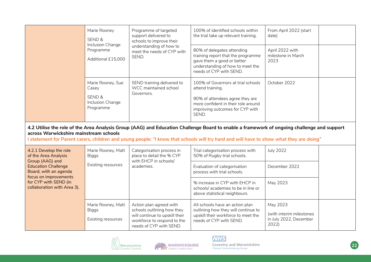|                                                                                                                                                                                                           | Marie Rooney<br>SEND &                                                                                                                                                                                                                                                                                                          | Programme of targeted<br>support delivered to<br>schools to improve their<br>understanding of how to<br>meet the needs of CYP with<br>SEND.       | 100% of identified schools within<br>the trial take up relevant training.                                                                                                    | From April 2022 (start<br>date)                                         |  |
|-----------------------------------------------------------------------------------------------------------------------------------------------------------------------------------------------------------|---------------------------------------------------------------------------------------------------------------------------------------------------------------------------------------------------------------------------------------------------------------------------------------------------------------------------------|---------------------------------------------------------------------------------------------------------------------------------------------------|------------------------------------------------------------------------------------------------------------------------------------------------------------------------------|-------------------------------------------------------------------------|--|
|                                                                                                                                                                                                           | Inclusion Change<br>Programme<br>Additional £15,000                                                                                                                                                                                                                                                                             |                                                                                                                                                   | 80% of delegates attending<br>training report that the programme<br>gave them a good or better<br>understanding of how to meet the<br>needs of CYP with SEND.                | April 2022 with<br>milestone in March<br>2023                           |  |
|                                                                                                                                                                                                           | Marie Rooney, Sue<br>Casey<br>SEND &<br>Inclusion Change<br>Programme                                                                                                                                                                                                                                                           | SEND training delivered to<br>WCC maintained school<br>Governors.                                                                                 | 100% of Governors at trial schools<br>attend training.<br>90% of attendees agree they are<br>more confident in their role around<br>improving outcomes for CYP with<br>SEND. | October 2022                                                            |  |
|                                                                                                                                                                                                           | 4.2 Utilise the role of the Area Analysis Group (AAG) and Education Challenge Board to enable a framework of ongoing challenge and support<br>across Warwickshire mainstream schools<br>I statement for Parent carers, children and young people: "I know that schools will try hard and will have to show what they are doing" |                                                                                                                                                   |                                                                                                                                                                              |                                                                         |  |
| 4.2.1 Develop the role<br>of the Area Analysis<br>Group (AAG) and<br><b>Education Challenge</b><br>Board, with an agenda<br>focus on improvements<br>for CYP with SEND (in<br>collaboration with Area 3). | Marie Rooney, Matt<br><b>Biggs</b>                                                                                                                                                                                                                                                                                              | Categorisation process in<br>place to detail the % CYP<br>with EHCP in schools/                                                                   | Trial categorisation process with<br>50% of Rugby trial schools.                                                                                                             | <b>July 2022</b>                                                        |  |
|                                                                                                                                                                                                           | Existing resources<br>academies.                                                                                                                                                                                                                                                                                                | Evaluation of categorisation<br>process with trial schools.                                                                                       | December 2022                                                                                                                                                                |                                                                         |  |
|                                                                                                                                                                                                           |                                                                                                                                                                                                                                                                                                                                 |                                                                                                                                                   | % increase in CYP with EHCP in<br>schools/academies to be in line or<br>above statistical neighbours.                                                                        | May 2023                                                                |  |
|                                                                                                                                                                                                           | Marie Rooney, Matt<br><b>Biggs</b><br>Existing resources                                                                                                                                                                                                                                                                        | Action plan agreed with<br>schools outlining how they<br>will continue to upskill their<br>workforce to respond to the<br>needs of CYP with SEND. | All schools have an action plan<br>outlining how they will continue to<br>upskill their workforce to meet the<br>needs of CYP with SEND.                                     | May 2023<br>(with interim milestones<br>in July 2022, December<br>2022) |  |



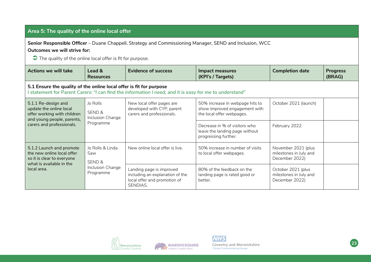### **Area 5: The quality of the online local offer**

**Senior Responsible Officer** – Duane Chappell, Strategy and Commissioning Manager, SEND and Inclusion, WCC

**Outcomes we will strive for:**

 $\Box$  The quality of the online local offer is fit for purpose.

| <b>Actions we will take</b>                                                                                                              | Lead &<br><b>Resources</b>                                                                                                                                                   | <b>Evidence of success</b>                                                                              | <b>Impact measures</b><br>(KPI's / Targets)                                                                            | <b>Completion date</b>                                          | <b>Progress</b><br>(BRAG) |
|------------------------------------------------------------------------------------------------------------------------------------------|------------------------------------------------------------------------------------------------------------------------------------------------------------------------------|---------------------------------------------------------------------------------------------------------|------------------------------------------------------------------------------------------------------------------------|-----------------------------------------------------------------|---------------------------|
|                                                                                                                                          | 5.1 Ensure the quality of the online local offer is fit for purpose<br>statement for Parent Carers: "I can find the information I need, and it is easy for me to understand" |                                                                                                         |                                                                                                                        |                                                                 |                           |
| 5.1.1 Re-design and<br>update the online local<br>offer working with children<br>and young people, parents,<br>carers and professionals. | Jo Rolls<br>SEND &<br>Inclusion Change                                                                                                                                       | New local offer pages are<br>developed with CYP, parent<br>carers and professionals.                    | October 2021 (launch)<br>50% increase in webpage hits to<br>show improved engagement with<br>the local offer webpages. |                                                                 |                           |
|                                                                                                                                          | Programme                                                                                                                                                                    |                                                                                                         | Decrease in % of visitors who<br>leave the landing page without<br>progressing further.                                | February 2022                                                   |                           |
| 5.1.2 Launch and promote<br>the new online local offer<br>so it is clear to everyone<br>what is available in the<br>local area.          | Jo Rolls & Linda<br>Saw<br>SEND &                                                                                                                                            | New online local offer is live.                                                                         | 50% increase in number of visits<br>to local offer webpages.                                                           | November 2021 (plus<br>milestones in July and<br>December 2022) |                           |
|                                                                                                                                          | Inclusion Change<br>Programme                                                                                                                                                | Landing page is improved<br>including an explanation of the<br>local offer and promotion of<br>SENDIAS. | 80% of the feedback on the<br>landing page is rated good or<br>better.                                                 | October 2021 (plus<br>milestones in July and<br>December 2022)  |                           |







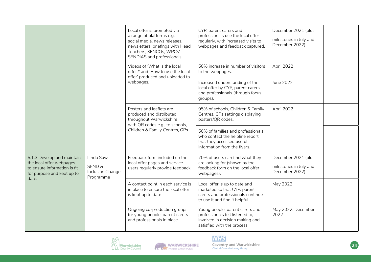|                                                                                                                               |                                                                 | Local offer is promoted via<br>a range of platforms e.g.,<br>social media, news releases,<br>newsletters, briefings with Head<br>Teachers, SENCOs, WPCV,<br>SENDIAS and professionals. | CYP, parent carers and<br>professionals use the local offer<br>regularly, with increased visits to<br>webpages and feedback captured. | December 2021 (plus<br>milestones in July and<br>December 2022) |
|-------------------------------------------------------------------------------------------------------------------------------|-----------------------------------------------------------------|----------------------------------------------------------------------------------------------------------------------------------------------------------------------------------------|---------------------------------------------------------------------------------------------------------------------------------------|-----------------------------------------------------------------|
|                                                                                                                               |                                                                 | Videos of 'What is the local<br>offer?' and 'How to use the local<br>offer' produced and uploaded to                                                                                   | 50% increase in number of visitors<br>to the webpages.                                                                                | April 2022                                                      |
|                                                                                                                               |                                                                 | webpages.                                                                                                                                                                              | Increased understanding of the<br>local offer by CYP, parent carers<br>and professionals (through focus<br>groups).                   | June 2022                                                       |
|                                                                                                                               |                                                                 | Posters and leaflets are<br>produced and distributed<br>throughout Warwickshire<br>with QR codes e.g., to schools,                                                                     | 95% of schools, Children & Family<br>Centres, GPs settings displaying<br>posters/QR codes.                                            | April 2022                                                      |
|                                                                                                                               |                                                                 | Children & Family Centres, GPs.                                                                                                                                                        | 50% of families and professionals<br>who contact the helpline report<br>that they accessed useful<br>information from the flyers.     |                                                                 |
| 5.1.3 Develop and maintain<br>the local offer webpages<br>to ensure information is fit<br>for purpose and kept up to<br>date. | Linda Saw<br><b>SEND &amp;</b><br>Inclusion Change<br>Programme | Feedback form included on the<br>local offer pages and service<br>users regularly provide feedback.                                                                                    | 70% of users can find what they<br>are looking for (shown by the<br>feedback form on the local offer<br>webpages).                    | December 2021 (plus<br>milestones in July and<br>December 2022) |
|                                                                                                                               |                                                                 | A contact point in each service is<br>in place to ensure the local offer<br>is kept up to date                                                                                         | Local offer is up to date and<br>marketed so that CYP, parent<br>carers and professionals continue<br>to use it and find it helpful.  | May 2022                                                        |
|                                                                                                                               |                                                                 | Ongoing co-production groups<br>for young people, parent carers<br>and professionals in place.                                                                                         | Young people, parent carers and<br>professionals felt listened to,<br>involved in decision making and<br>satisfied with the process.  | May 2022, December<br>2022                                      |



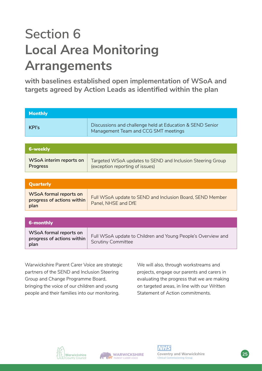# **Section 6 Local Area Monitoring Arrangements**

**with baselines established open implementation of WSoA and targets agreed by Action Leads as identified within the plan**

| <b>Monthly</b>                                                      |                                                                                                   |
|---------------------------------------------------------------------|---------------------------------------------------------------------------------------------------|
| <b>KPI's</b>                                                        | Discussions and challenge held at Education & SEND Senior<br>Management Team and CCG SMT meetings |
|                                                                     |                                                                                                   |
| <b>6-weekly</b>                                                     |                                                                                                   |
| WSoA interim reports on<br>Progress                                 | Targeted WSoA updates to SEND and Inclusion Steering Group<br>(exception reporting of issues)     |
|                                                                     |                                                                                                   |
| <b>Quarterly</b>                                                    |                                                                                                   |
| <b>WSoA formal reports on</b><br>progress of actions within<br>plan | Full WSoA update to SEND and Inclusion Board, SEND Member<br>Panel, NHSE and DfE                  |
|                                                                     |                                                                                                   |
| 6-monthly                                                           |                                                                                                   |
| WSoA formal reports on<br>progress of actions within<br>plan        | Full WSoA update to Children and Young People's Overview and<br><b>Scrutiny Committee</b>         |

Warwickshire Parent Carer Voice are strategic partners of the SEND and Inclusion Steering Group and Change Programme Board, bringing the voice of our children and young people and their families into our monitoring.

We will also, through workstreams and projects, engage our parents and carers in evaluating the progress that we are making on targeted areas, in line with our Written Statement of Action commitments.



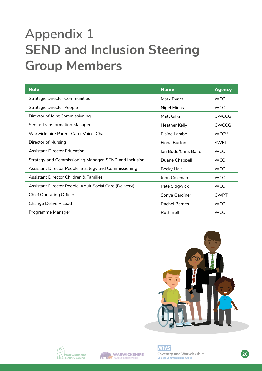### **Appendix 1 SEND and Inclusion Steering Group Members**

| <b>Role</b>                                             | <b>Name</b>          | <b>Agency</b> |
|---------------------------------------------------------|----------------------|---------------|
| <b>Strategic Director Communities</b>                   | Mark Ryder           | <b>WCC</b>    |
| <b>Strategic Director People</b>                        | Nigel Minns          | <b>WCC</b>    |
| Director of Joint Commissioning                         | Matt Gilks           | <b>CWCCG</b>  |
| <b>Senior Transformation Manager</b>                    | <b>Heather Kelly</b> | <b>CWCCG</b>  |
| Warwickshire Parent Carer Voice, Chair                  | Elaine Lambe         | <b>WPCV</b>   |
| Director of Nursing                                     | Fiona Burton         | <b>SWFT</b>   |
| <b>Assistant Director Education</b>                     | Ian Budd/Chris Baird | <b>WCC</b>    |
| Strategy and Commissioning Manager, SEND and Inclusion  | Duane Chappell       | <b>WCC</b>    |
| Assistant Director People, Strategy and Commissioning   | Becky Hale           | <b>WCC</b>    |
| Assistant Director Children & Families                  | John Coleman         | <b>WCC</b>    |
| Assistant Director People, Adult Social Care (Delivery) | Pete Sidgwick        | WCC.          |
| <b>Chief Operating Officer</b>                          | Sonya Gardiner       | <b>CWPT</b>   |
| Change Delivery Lead                                    | <b>Rachel Barnes</b> | <b>WCC</b>    |
| Programme Manager                                       | <b>Ruth Bell</b>     | <b>WCC</b>    |







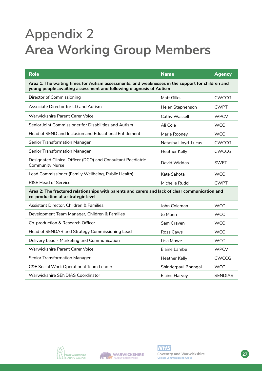## **Appendix 2 Area Working Group Members**

| <b>Role</b>                                                                                                                                                            | <b>Name</b>         | <b>Agency</b>  |  |  |  |
|------------------------------------------------------------------------------------------------------------------------------------------------------------------------|---------------------|----------------|--|--|--|
| Area 1: The waiting times for Autism assessments, and weaknesses in the support for children and<br>young people awaiting assessment and following diagnosis of Autism |                     |                |  |  |  |
| Director of Commissioning                                                                                                                                              | <b>Matt Gilks</b>   | <b>CWCCG</b>   |  |  |  |
| Associate Director for LD and Autism                                                                                                                                   | Helen Stephenson    | <b>CWPT</b>    |  |  |  |
| Warwickshire Parent Carer Voice                                                                                                                                        | Cathy Wassell       | <b>WPCV</b>    |  |  |  |
| Senior Joint Commissioner for Disabilities and Autism                                                                                                                  | Ali Cole            | <b>WCC</b>     |  |  |  |
| Head of SEND and Inclusion and Educational Entitlement                                                                                                                 | Marie Rooney        | <b>WCC</b>     |  |  |  |
| <b>Senior Transformation Manager</b>                                                                                                                                   | Natasha Lloyd-Lucas | <b>CWCCG</b>   |  |  |  |
| <b>Senior Transformation Manager</b>                                                                                                                                   | Heather Kelly       | <b>CWCCG</b>   |  |  |  |
| Designated Clinical Officer (DCO) and Consultant Paediatric<br><b>Community Nurse</b>                                                                                  | David Widdas        | <b>SWFT</b>    |  |  |  |
| Lead Commissioner (Family Wellbeing, Public Health)                                                                                                                    | Kate Sahota         | <b>WCC</b>     |  |  |  |
| <b>RISE Head of Service</b>                                                                                                                                            | Michelle Rudd       | <b>CWPT</b>    |  |  |  |
| Area 2: The fractured relationships with parents and carers and lack of clear communication and<br>co-production at a strategic level                                  |                     |                |  |  |  |
| Assistant Director, Children & Families                                                                                                                                | John Coleman        | <b>WCC</b>     |  |  |  |
| Development Team Manager, Children & Families                                                                                                                          | Jo Mann             | <b>WCC</b>     |  |  |  |
| Co-production & Research Officer                                                                                                                                       | Sam Craven          | <b>WCC</b>     |  |  |  |
| Head of SENDAR and Strategy Commissioning Lead                                                                                                                         | Ross Caws           | <b>WCC</b>     |  |  |  |
| Delivery Lead - Marketing and Communication                                                                                                                            | Lisa Mowe           | <b>WCC</b>     |  |  |  |
| Warwickshire Parent Carer Voice                                                                                                                                        | Elaine Lambe        | <b>WPCV</b>    |  |  |  |
| <b>Senior Transformation Manager</b>                                                                                                                                   | Heather Kelly       | <b>CWCCG</b>   |  |  |  |
| C&F Social Work Operational Team Leader                                                                                                                                | Shinderpaul Bhangal | <b>WCC</b>     |  |  |  |
| Warwickshire SENDIAS Coordinator                                                                                                                                       | Elaine Harvey       | <b>SENDIAS</b> |  |  |  |



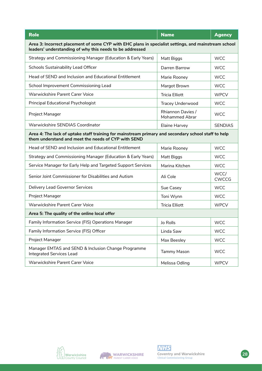| <b>Role</b>                                                                                                                                                      | <b>Name</b>                                       | <b>Agency</b>        |  |  |
|------------------------------------------------------------------------------------------------------------------------------------------------------------------|---------------------------------------------------|----------------------|--|--|
| Area 3: Incorrect placement of some CYP with EHC plans in specialist settings, and mainstream school<br>leaders' understanding of why this needs to be addressed |                                                   |                      |  |  |
| Strategy and Commissioning Manager (Education & Early Years)                                                                                                     | Matt Biggs                                        | <b>WCC</b>           |  |  |
| Schools Sustainability Lead Officer                                                                                                                              | Darren Barrow                                     | <b>WCC</b>           |  |  |
| Head of SEND and Inclusion and Educational Entitlement                                                                                                           | Marie Rooney                                      | <b>WCC</b>           |  |  |
| School Improvement Commissioning Lead                                                                                                                            | Margot Brown                                      | <b>WCC</b>           |  |  |
| Warwickshire Parent Carer Voice                                                                                                                                  | <b>Tricia Elliott</b>                             | <b>WPCV</b>          |  |  |
| <b>Principal Educational Psychologist</b>                                                                                                                        | <b>Tracey Underwood</b>                           | <b>WCC</b>           |  |  |
| Project Manager                                                                                                                                                  | <b>Rhiannon Davies /</b><br><b>Mohammed Abrar</b> | <b>WCC</b>           |  |  |
| Warwickshire SENDIAS Coordinator                                                                                                                                 | Elaine Harvey                                     | <b>SENDIAS</b>       |  |  |
| Area 4: The lack of uptake staff training for mainstream primary and secondary school staff to help<br>them understand and meet the needs of CYP with SEND       |                                                   |                      |  |  |
| Head of SEND and Inclusion and Educational Entitlement                                                                                                           | Marie Rooney                                      | <b>WCC</b>           |  |  |
| Strategy and Commissioning Manager (Education & Early Years)                                                                                                     | Matt Biggs                                        | <b>WCC</b>           |  |  |
| Service Manager for Early Help and Targeted Support Services                                                                                                     | Marina Kitchen                                    | <b>WCC</b>           |  |  |
| Senior Joint Commissioner for Disabilities and Autism                                                                                                            | Ali Cole                                          | WCC/<br><b>CWCCG</b> |  |  |
| Delivery Lead Governor Services                                                                                                                                  | Sue Casey                                         | <b>WCC</b>           |  |  |
| Project Manager                                                                                                                                                  | Toni Wynn                                         | <b>WCC</b>           |  |  |
| Warwickshire Parent Carer Voice                                                                                                                                  | <b>Tricia Elliott</b>                             | <b>WPCV</b>          |  |  |
| Area 5: The quality of the online local offer                                                                                                                    |                                                   |                      |  |  |
| Family Information Service (FIS) Operations Manager                                                                                                              | Jo Rolls                                          | <b>WCC</b>           |  |  |
| Family Information Service (FIS) Officer                                                                                                                         | Linda Saw                                         | <b>WCC</b>           |  |  |
| Project Manager                                                                                                                                                  | Max Beesley                                       | <b>WCC</b>           |  |  |
| Manager EMTAS and SEND & Inclusion Change Programme<br><b>Integrated Services Lead</b>                                                                           | Tammy Mason                                       | <b>WCC</b>           |  |  |
| Warwickshire Parent Carer Voice                                                                                                                                  | Melissa Odling                                    | <b>WPCV</b>          |  |  |





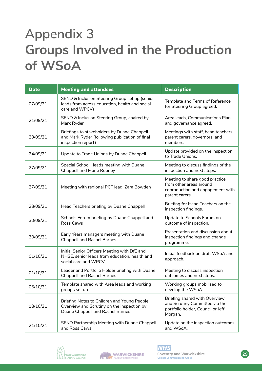## **Appendix 3 Groups Involved in the Production of WSoA**

| <b>Date</b> | <b>Meeting and attendees</b>                                                                                                  | <b>Description</b>                                                                                              |
|-------------|-------------------------------------------------------------------------------------------------------------------------------|-----------------------------------------------------------------------------------------------------------------|
| 07/09/21    | SEND & Inclusion Steering Group set up (senior<br>leads from across education, health and social<br>care and WPCV)            | Template and Terms of Reference<br>for Steering Group agreed.                                                   |
| 21/09/21    | SEND & Inclusion Steering Group, chaired by<br>Mark Ryder                                                                     | Area leads, Communications Plan<br>and governance agreed.                                                       |
| 23/09/21    | Briefings to stakeholders by Duane Chappell<br>and Mark Ryder (following publication of final<br>inspection report)           | Meetings with staff, head teachers,<br>parent carers, governors, and<br>members.                                |
| 24/09/21    | Update to Trade Unions by Duane Chappell                                                                                      | Update provided on the inspection<br>to Trade Unions.                                                           |
| 27/09/21    | Special School Heads meeting with Duane<br>Chappell and Marie Rooney                                                          | Meeting to discuss findings of the<br>inspection and next steps.                                                |
| 27/09/21    | Meeting with regional PCF lead, Zara Bowden                                                                                   | Meeting to share good practice<br>from other areas around<br>coproduction and engagement with<br>parent carers. |
| 28/09/21    | Head Teachers briefing by Duane Chappell                                                                                      | Briefing for Head Teachers on the<br>inspection findings.                                                       |
| 30/09/21    | Schools Forum briefing by Duane Chappell and<br>Ross Caws                                                                     | Update to Schools Forum on<br>outcome of inspection.                                                            |
| 30/09/21    | Early Years managers meeting with Duane<br><b>Chappell and Rachel Barnes</b>                                                  | Presentation and discussion about<br>inspection findings and change<br>programme.                               |
| 01/10/21    | Initial Senior Officers Meeting with DfE and<br>NHSE, senior leads from education, health and<br>social care and WPCV         | Initial feedback on draft WSoA and<br>approach.                                                                 |
| 01/10/21    | Leader and Portfolio Holder briefing with Duane<br><b>Chappell and Rachel Barnes</b>                                          | Meeting to discuss inspection<br>outcomes and next steps.                                                       |
| 05/10/21    | Template shared with Area leads and working<br>groups set up                                                                  | Working groups mobilised to<br>develop the WSoA.                                                                |
| 18/10/21    | Briefing Notes to Children and Young People<br>Overview and Scrutiny on the inspection by<br>Duane Chappell and Rachel Barnes | Briefing shared with Overview<br>and Scrutiny Committee via the<br>portfolio holder, Councillor Jeff<br>Morgan. |
| 21/10/21    | SEND Partnership Meeting with Duane Chappell<br>and Ross Caws                                                                 | Update on the inspection outcomes<br>and WSoA.                                                                  |





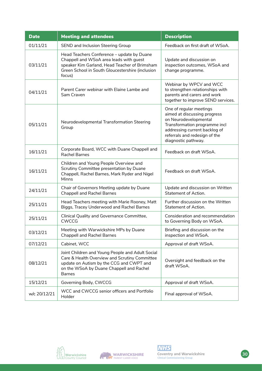| <b>Date</b>  | <b>Meeting and attendees</b>                                                                                                                                                                               | <b>Description</b>                                                                                                                                                                                         |
|--------------|------------------------------------------------------------------------------------------------------------------------------------------------------------------------------------------------------------|------------------------------------------------------------------------------------------------------------------------------------------------------------------------------------------------------------|
| 01/11/21     | SEND and Inclusion Steering Group                                                                                                                                                                          | Feedback on first draft of WSoA.                                                                                                                                                                           |
| 03/11/21     | Head Teachers Conference - update by Duane<br>Chappell and WSoA area leads with guest<br>speaker Kim Garland, Head Teacher of Brimsham<br>Green School in South Gloucestershire (inclusion<br>focus)       | Update and discussion on<br>inspection outcomes, WSoA and<br>change programme.                                                                                                                             |
| 04/11/21     | Parent Carer webinar with Elaine Lambe and<br>Sam Craven                                                                                                                                                   | Webinar by WPCV and WCC<br>to strengthen relationships with<br>parents and carers and work<br>together to improve SEND services.                                                                           |
| 05/11/21     | Neurodevelopmental Transformation Steering<br>Group                                                                                                                                                        | One of regular meetings<br>aimed at discussing progress<br>on Neurodevelopmental<br>Transformation programme incl<br>addressing current backlog of<br>referrals and redesign of the<br>diagnostic pathway. |
| 16/11/21     | Corporate Board, WCC with Duane Chappell and<br><b>Rachel Barnes</b>                                                                                                                                       | Feedback on draft WSoA.                                                                                                                                                                                    |
| 16/11/21     | Children and Young People Overview and<br>Scrutiny Committee presentation by Duane<br>Chappell, Rachel Barnes, Mark Ryder and Nigel<br>Minns                                                               | Feedback on draft WSoA.                                                                                                                                                                                    |
| 24/11/21     | Chair of Governors Meeting update by Duane<br><b>Chappell and Rachel Barnes</b>                                                                                                                            | Update and discussion on Written<br>Statement of Action.                                                                                                                                                   |
| 25/11/21     | Head Teachers meeting with Marie Rooney, Matt<br>Biggs, Tracey Underwood and Rachel Barnes                                                                                                                 | Further discussion on the Written<br><b>Statement of Action.</b>                                                                                                                                           |
| 25/11/21     | Clinical Quality and Governance Committee,<br><b>CWCCG</b>                                                                                                                                                 | Consideration and recommendation<br>to Governing Body on WSoA.                                                                                                                                             |
| 03/12/21     | Meeting with Warwickshire MPs by Duane<br><b>Chappell and Rachel Barnes</b>                                                                                                                                | Briefing and discussion on the<br>inspection and WSoA.                                                                                                                                                     |
| 07/12/21     | Cabinet, WCC                                                                                                                                                                                               | Approval of draft WSoA.                                                                                                                                                                                    |
| 08/12/21     | Joint Children and Young People and Adult Social<br>Care & Health Overview and Scrutiny Committee<br>update on Autism by the CCG and CWPT and<br>on the WSoA by Duane Chappell and Rachel<br><b>Barnes</b> | Oversight and feedback on the<br>draft WSoA.                                                                                                                                                               |
| 15/12/21     | Governing Body, CWCCG                                                                                                                                                                                      | Approval of draft WSoA.                                                                                                                                                                                    |
| w/c 20/12/21 | WCC and CWCCG senior officers and Portfolio<br>Holder                                                                                                                                                      | Final approval of WSoA.                                                                                                                                                                                    |



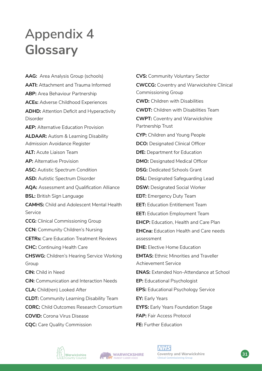# **Appendix 4 Glossary**

**AAG:** Area Analysis Group (schools) **AATI:** Attachment and Trauma Informed **ABP:** Area Behaviour Partnership **ACEs:** Adverse Childhood Experiences **ADHD:** Attention Deficit and Hyperactivity Disorder **AEP:** Alternative Education Provision **ALDAAR:** Autism & Learning Disability Admission Avoidance Register **ALT:** Acute Liaison Team **AP:** Alternative Provision **ASC:** Autistic Spectrum Condition **ASD:** Autistic Spectrum Disorder **AQA:** Assessment and Qualification Alliance **BSL:** British Sign Language **CAMHS:** Child and Adolescent Mental Health Service **CCG:** Clinical Commissioning Group **CCN:** Community Children's Nursing **CETRs:** Care Education Treatment Reviews **CHC:** Continuing Health Care **CHSWG:** Children's Hearing Service Working Group **CIN:** Child in Need **CiN:** Communication and Interaction Needs **CLA:** Child(ren) Looked After **CLDT:** Community Learning Disability Team **CORC:** Child Outcomes Research Consortium **COVID:** Corona Virus Disease **CQC:** Care Quality Commission

**CVS:** Community Voluntary Sector **CWCCG:** Coventry and Warwickshire Clinical Commissioning Group **CWD:** Children with Disabilities **CWDT:** Children with Disabilities Team **CWPT:** Coventry and Warwickshire Partnership Trust **CYP:** Children and Young People **DCO: Designated Clinical Officer DfE:** Department for Education **DMO:** Designated Medical Officer **DSG:** Dedicated Schools Grant **DSL:** Designated Safeguarding Lead **DSW: Designated Social Worker EDT:** Emergency Duty Team **EET:** Education Entitlement Team **EET:** Education Employment Team **EHCP:** Education, Health and Care Plan **EHCna:** Education Health and Care needs assessment **EHE:** Elective Home Education **EMTAS:** Ethnic Minorities and Traveller Achievement Service **ENAS:** Extended Non-Attendance at School **EP:** Educational Psychologist **EPS:** Educational Psychology Service **EY:** Early Years **EYFS:** Early Years Foundation Stage **FAP:** Fair Access Protocol **FE:** Further Education